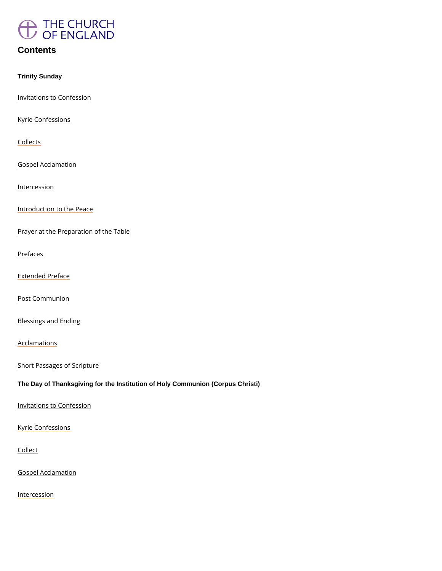

# **Contents**

Trinity Sunday

Invitations to Confession

Kyrie Confessions

**Collects** 

Gospel Acclamation

Intercession

Introduction to the Peace

Prayer at the Preparation of the Table

Prefaces

Extended Preface

Post Communion

Blessings and Ending

Acclamations

Short Passages of Scripture

The Day of Thanksgiving for the Institution of Holy Communion (Corpus Christi)

Invitations to Confession

Kyrie Confessions

Collect

Gospel Acclamation

Intercession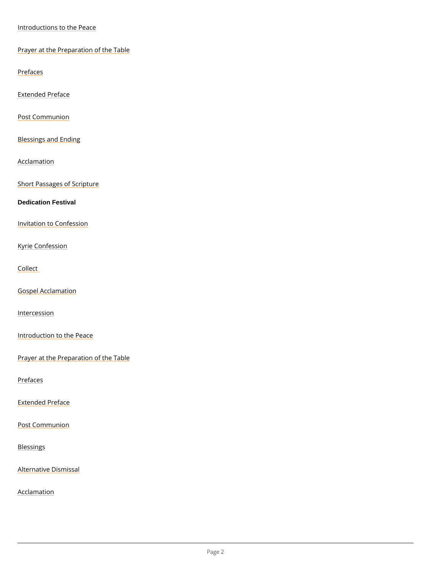Introductions to the Peace

Prayer at the Preparation of the Table

Prefaces

Extended Preface

Post Communion

Blessings and Ending

Acclamation

Short Passages of Scripture

Dedication Festival

Invitation to Confession

Kyrie Confession

Collect

Gospel Acclamation

Intercession

Introduction to the Peace

Prayer at the Preparation of the Table

#### Prefaces

Extended Preface

Post Communion

### Blessings

Alternative Dismissal

Acclamation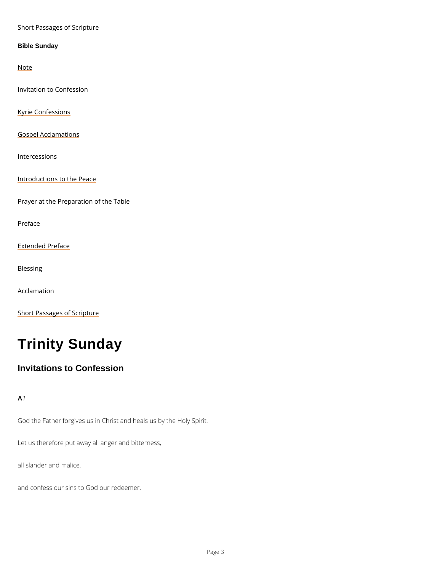#### Short Passages of Scripture

Bible Sunday

Note

Invitation to Confession

Kyrie Confessions

Gospel Acclamations

Intercessions

Introductions to the Peace

Prayer at the Preparation of the Table

Preface

Extended Preface

Blessing

Acclamation

Short Passages of Scripture

# Trinity Sunday

Invitations to Confession

A1

God the Father forgives us in Christ and heals us by the Holy Spirit.

Let us therefore put away all anger and bitterness,

all slander and malice,

and confess our sins to God our redeemer.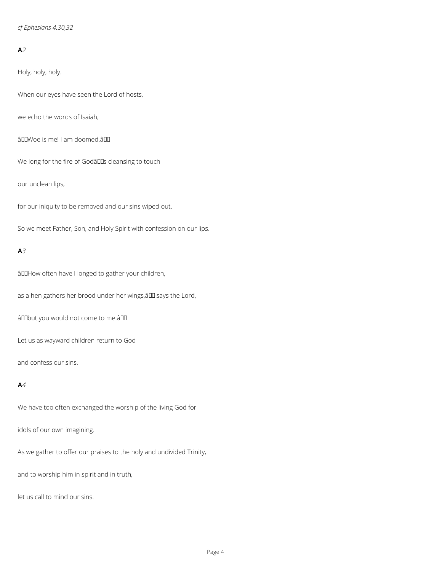*cf Ephesians 4.30,32*

### **A***2*

Holy, holy, holy.

When our eyes have seen the Lord of hosts,

we echo the words of Isaiah,

âDDWoe is me! I am doomed.âDD

We long for the fire of Godâlls cleansing to touch

our unclean lips,

for our iniquity to be removed and our sins wiped out.

So we meet Father, Son, and Holy Spirit with confession on our lips.

#### **A***3*

âDDHow often have I longed to gather your children,

as a hen gathers her brood under her wings, all says the Lord,

âDDbut you would not come to me.âDD

Let us as wayward children return to God

and confess our sins.

#### **A***4*

We have too often exchanged the worship of the living God for

# idols of our own imagining.

As we gather to offer our praises to the holy and undivided Trinity,

and to worship him in spirit and in truth,

let us call to mind our sins.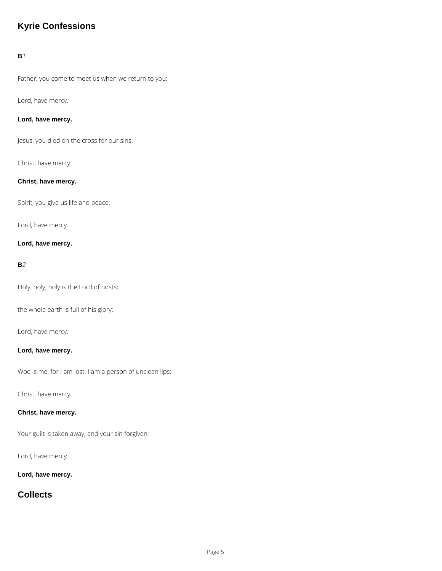# **Kyrie Confessions**

### **B***1*

Father, you come to meet us when we return to you:

### Lord, have mercy.

### **Lord, have mercy.**

Jesus, you died on the cross for our sins:

### Christ, have mercy.

#### **Christ, have mercy.**

Spirit, you give us life and peace:

Lord, have mercy.

### **Lord, have mercy.**

#### **B***2*

Holy, holy, holy is the Lord of hosts;

the whole earth is full of his glory:

Lord, have mercy.

#### **Lord, have mercy.**

Woe is me, for I am lost: I am a person of unclean lips:

Christ, have mercy.

#### **Christ, have mercy.**

Your guilt is taken away, and your sin forgiven:

Lord, have mercy.

**Lord, have mercy.**

**Collects**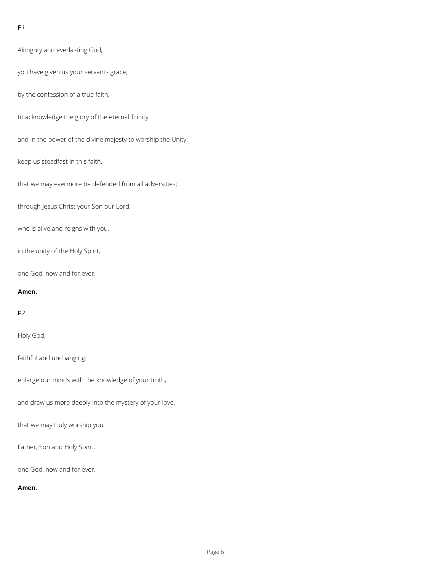### **F***1*

Almighty and everlasting God,

you have given us your servants grace,

by the confession of a true faith,

to acknowledge the glory of the eternal Trinity

and in the power of the divine majesty to worship the Unity:

keep us steadfast in this faith,

that we may evermore be defended from all adversities;

through Jesus Christ your Son our Lord,

who is alive and reigns with you,

in the unity of the Holy Spirit,

one God, now and for ever.

#### **Amen.**

### **F***2*

Holy God,

faithful and unchanging:

enlarge our minds with the knowledge of your truth,

and draw us more deeply into the mystery of your love,

that we may truly worship you,

Father, Son and Holy Spirit,

one God, now and for ever.

**Amen.**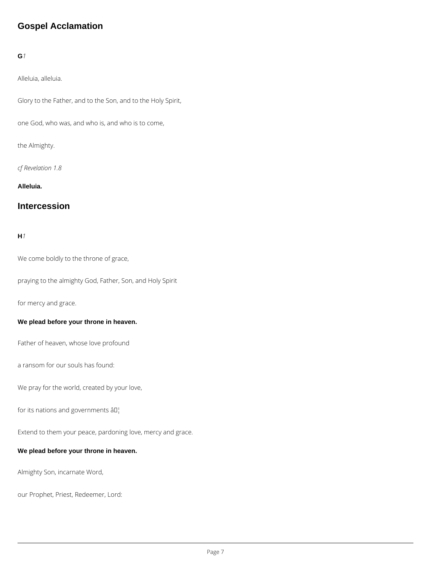# **Gospel Acclamation**

# **G***1*

Alleluia, alleluia.

Glory to the Father, and to the Son, and to the Holy Spirit,

one God, who was, and who is, and who is to come,

the Almighty.

*cf Revelation 1.8*

**Alleluia.**

# **Intercession**

### **H***1*

We come boldly to the throne of grace,

praying to the almighty God, Father, Son, and Holy Spirit

for mercy and grace.

#### **We plead before your throne in heaven.**

Father of heaven, whose love profound

a ransom for our souls has found:

We pray for the world, created by your love,

for its nations and governments  $\hat{a} \mathbb{I}^1$ 

Extend to them your peace, pardoning love, mercy and grace.

### **We plead before your throne in heaven.**

Almighty Son, incarnate Word,

our Prophet, Priest, Redeemer, Lord: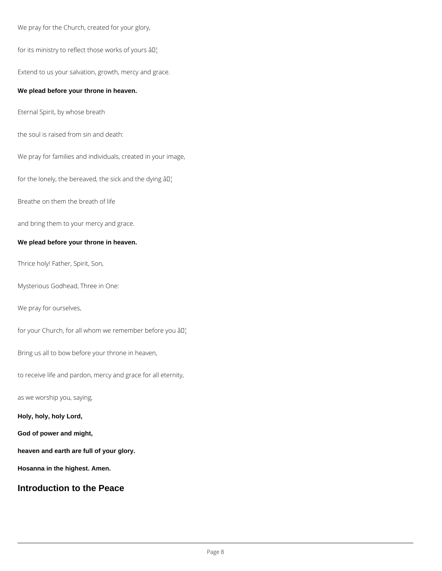We pray for the Church, created for your glory,

for its ministry to reflect those works of yours  $\hat{a} \Pi_1$ 

Extend to us your salvation, growth, mercy and grace.

#### **We plead before your throne in heaven.**

Eternal Spirit, by whose breath

the soul is raised from sin and death:

We pray for families and individuals, created in your image,

for the lonely, the bereaved, the sick and the dying  $\hat{a} \Pi_1^{\dagger}$ 

Breathe on them the breath of life

and bring them to your mercy and grace.

#### **We plead before your throne in heaven.**

Thrice holy! Father, Spirit, Son,

Mysterious Godhead, Three in One:

We pray for ourselves,

for your Church, for all whom we remember before you  $\partial \mathbb{I}^1$ 

Bring us all to bow before your throne in heaven,

to receive life and pardon, mercy and grace for all eternity,

as we worship you, saying,

#### **Holy, holy, holy Lord,**

#### **God of power and might,**

**heaven and earth are full of your glory.**

**Hosanna in the highest. Amen.**

# **Introduction to the Peace**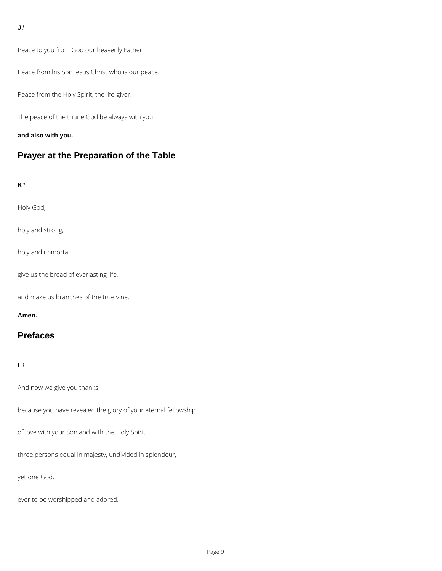Peace to you from God our heavenly Father.

Peace from his Son Jesus Christ who is our peace.

Peace from the Holy Spirit, the life-giver.

The peace of the triune God be always with you

**and also with you.**

# **Prayer at the Preparation of the Table**

### **K***1*

Holy God,

holy and strong,

holy and immortal,

give us the bread of everlasting life,

and make us branches of the true vine.

#### **Amen.**

# **Prefaces**

### **L***1*

And now we give you thanks

because you have revealed the glory of your eternal fellowship

of love with your Son and with the Holy Spirit,

three persons equal in majesty, undivided in splendour,

yet one God,

ever to be worshipped and adored.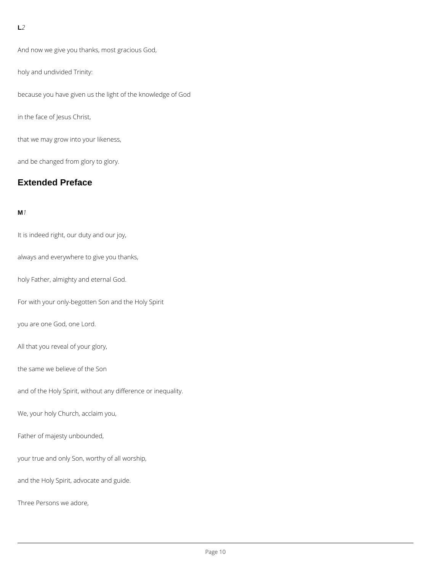### **L***2*

And now we give you thanks, most gracious God,

holy and undivided Trinity:

because you have given us the light of the knowledge of God

in the face of Jesus Christ,

that we may grow into your likeness,

and be changed from glory to glory.

# **Extended Preface**

#### **M***1*

It is indeed right, our duty and our joy,

always and everywhere to give you thanks,

holy Father, almighty and eternal God.

For with your only-begotten Son and the Holy Spirit

you are one God, one Lord.

All that you reveal of your glory,

the same we believe of the Son

and of the Holy Spirit, without any difference or inequality.

We, your holy Church, acclaim you,

Father of majesty unbounded,

your true and only Son, worthy of all worship,

and the Holy Spirit, advocate and guide.

Three Persons we adore,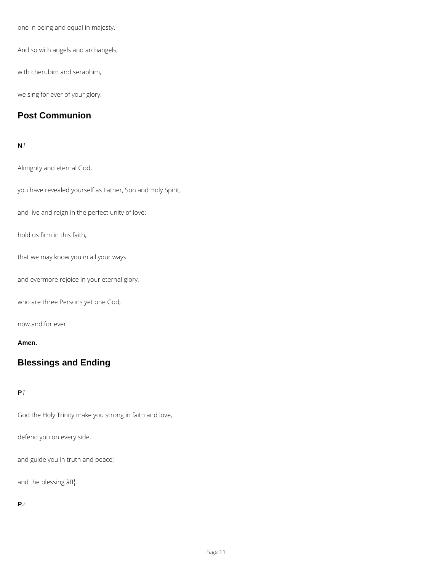one in being and equal in majesty.

And so with angels and archangels,

with cherubim and seraphim,

we sing for ever of your glory:

# **Post Communion**

#### **N***1*

Almighty and eternal God,

you have revealed yourself as Father, Son and Holy Spirit,

and live and reign in the perfect unity of love:

hold us firm in this faith,

that we may know you in all your ways

and evermore rejoice in your eternal glory,

who are three Persons yet one God,

now and for ever.

#### **Amen.**

# **Blessings and Ending**

#### **P***1*

God the Holy Trinity make you strong in faith and love,

defend you on every side,

and guide you in truth and peace;

and the blessing  $\hat{a} \Pi_1^1$ 

**P***2*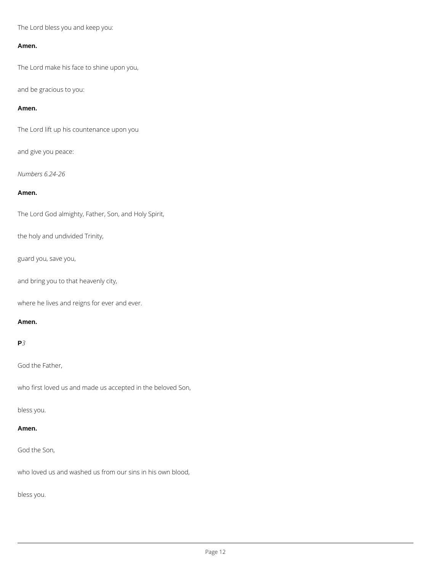The Lord bless you and keep you:

#### **Amen.**

The Lord make his face to shine upon you,

and be gracious to you:

#### **Amen.**

The Lord lift up his countenance upon you

and give you peace:

*Numbers 6.24-26*

#### **Amen.**

The Lord God almighty, Father, Son, and Holy Spirit,

the holy and undivided Trinity,

guard you, save you,

and bring you to that heavenly city,

where he lives and reigns for ever and ever.

#### **Amen.**

### **P***3*

God the Father,

who first loved us and made us accepted in the beloved Son,

bless you.

**Amen.**

### God the Son,

who loved us and washed us from our sins in his own blood,

bless you.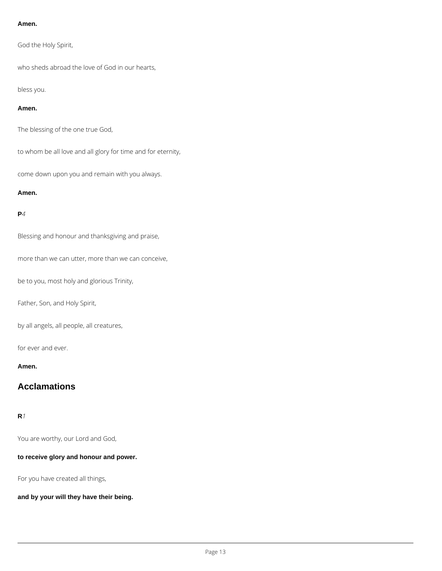#### **Amen.**

God the Holy Spirit,

who sheds abroad the love of God in our hearts,

bless you.

#### **Amen.**

The blessing of the one true God,

to whom be all love and all glory for time and for eternity,

come down upon you and remain with you always.

#### **Amen.**

### **P***4*

Blessing and honour and thanksgiving and praise,

more than we can utter, more than we can conceive,

be to you, most holy and glorious Trinity,

Father, Son, and Holy Spirit,

by all angels, all people, all creatures,

for ever and ever.

**Amen.**

# **Acclamations**

You are worthy, our Lord and God,

**to receive glory and honour and power.**

For you have created all things,

**and by your will they have their being.**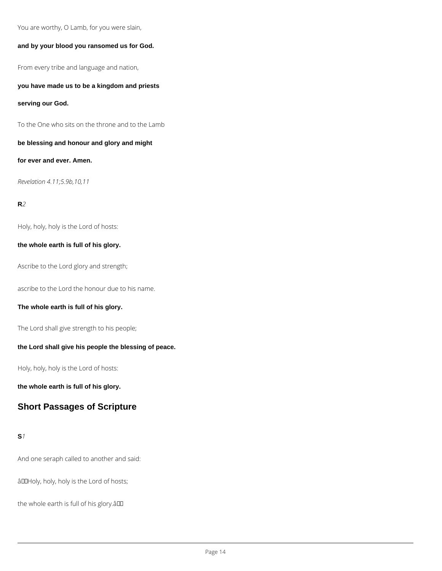You are worthy, O Lamb, for you were slain,

#### **and by your blood you ransomed us for God.**

From every tribe and language and nation,

**you have made us to be a kingdom and priests**

**serving our God.**

To the One who sits on the throne and to the Lamb

**be blessing and honour and glory and might**

**for ever and ever. Amen.**

*Revelation 4.11;5.9b,10,11*

### **R***2*

Holy, holy, holy is the Lord of hosts:

#### **the whole earth is full of his glory.**

Ascribe to the Lord glory and strength;

ascribe to the Lord the honour due to his name.

#### **The whole earth is full of his glory.**

The Lord shall give strength to his people;

#### **the Lord shall give his people the blessing of peace.**

Holy, holy, holy is the Lord of hosts:

**the whole earth is full of his glory.**

# **Short Passages of Scripture**

And one seraph called to another and said:

âDDHoly, holy, holy is the Lord of hosts;

the whole earth is full of his glory.âll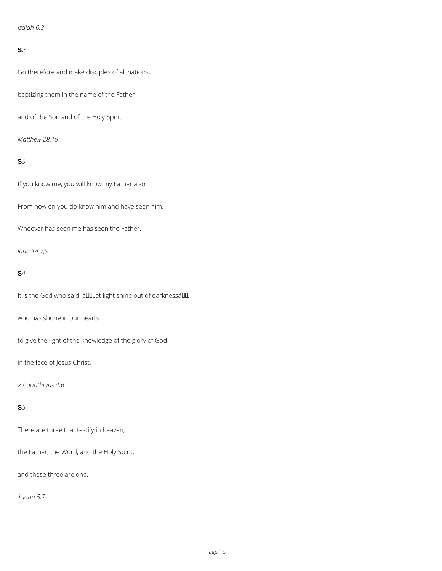*Isaiah 6.3*

### **S***2*

Go therefore and make disciples of all nations,

baptizing them in the name of the Father

and of the Son and of the Holy Spirit.

*Matthew 28.19*

# **S***3*

If you know me, you will know my Father also.

From now on you do know him and have seen him.

Whoever has seen me has seen the Father.

*John 14.7,9*

### **S***4*

It is the God who said, â DDLet light shine out of darknessâ DD,

who has shone in our hearts

to give the light of the knowledge of the glory of God

in the face of Jesus Christ.

*2 Corinthians 4.6*

There are three that testify in heaven,

the Father, the Word, and the Holy Spirit,

and these three are one.

*1 John 5.7*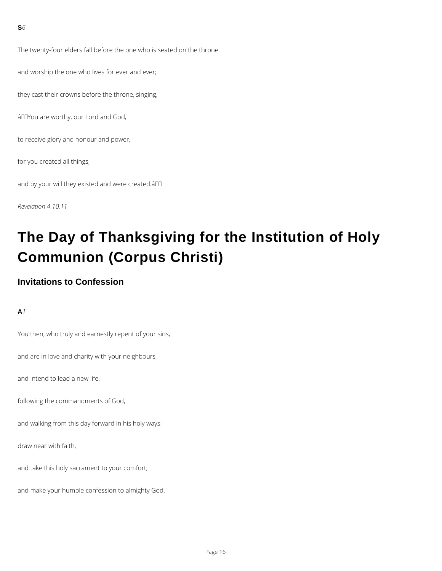The twenty-four elders fall before the one who is seated on the throne

and worship the one who lives for ever and ever;

they cast their crowns before the throne, singing,

âDDYou are worthy, our Lord and God,

to receive glory and honour and power,

for you created all things,

and by your will they existed and were created.âDD

*Revelation 4.10,11*

# **The Day of Thanksgiving for the Institution of Holy Communion (Corpus Christi)**

# **Invitations to Confession**

**A***1*

You then, who truly and earnestly repent of your sins,

and are in love and charity with your neighbours,

and intend to lead a new life,

following the commandments of God,

and walking from this day forward in his holy ways:

draw near with faith,

and take this holy sacrament to your comfort;

and make your humble confession to almighty God.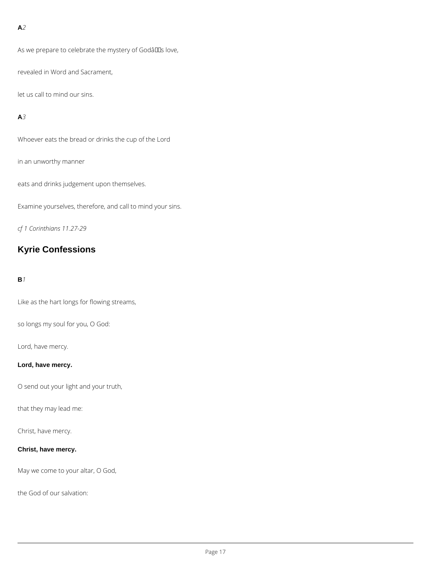### **A***2*

As we prepare to celebrate the mystery of Godâllas love,

revealed in Word and Sacrament,

let us call to mind our sins.

### **A***3*

Whoever eats the bread or drinks the cup of the Lord

in an unworthy manner

eats and drinks judgement upon themselves.

Examine yourselves, therefore, and call to mind your sins.

*cf 1 Corinthians 11.27-29*

# **Kyrie Confessions**

#### **B***1*

Like as the hart longs for flowing streams,

so longs my soul for you, O God:

Lord, have mercy.

### **Lord, have mercy.**

O send out your light and your truth,

that they may lead me:

Christ, have mercy.

### **Christ, have mercy.**

May we come to your altar, O God,

the God of our salvation: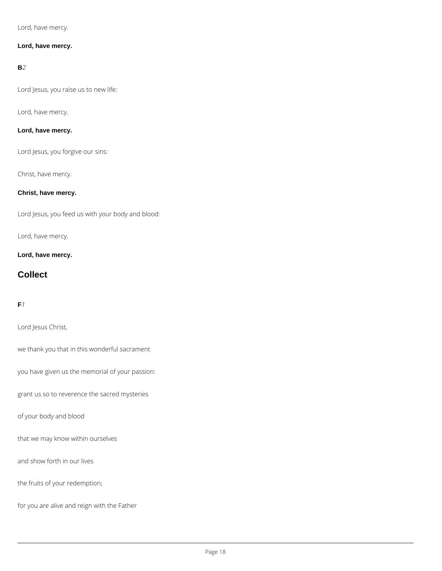Lord, have mercy.

#### **Lord, have mercy.**

#### **B***2*

Lord Jesus, you raise us to new life:

Lord, have mercy.

### **Lord, have mercy.**

Lord Jesus, you forgive our sins:

Christ, have mercy.

# **Christ, have mercy.**

Lord Jesus, you feed us with your body and blood:

Lord, have mercy.

**Lord, have mercy.**

# **Collect**

# **F***1*

Lord Jesus Christ,

we thank you that in this wonderful sacrament

you have given us the memorial of your passion:

grant us so to reverence the sacred mysteries

of your body and blood

that we may know within ourselves

and show forth in our lives

the fruits of your redemption;

for you are alive and reign with the Father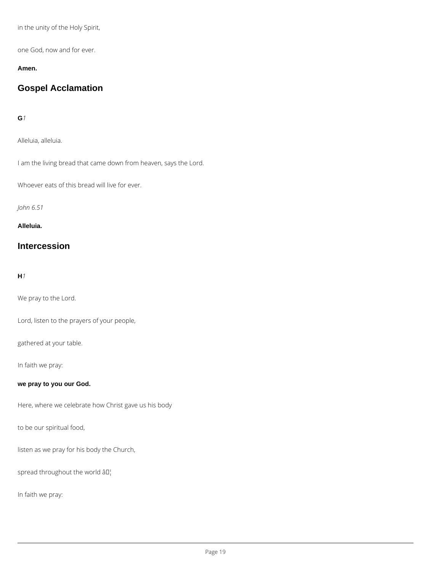in the unity of the Holy Spirit,

one God, now and for ever.

#### **Amen.**

# **Gospel Acclamation**

### **G***1*

Alleluia, alleluia.

I am the living bread that came down from heaven, says the Lord.

Whoever eats of this bread will live for ever.

*John 6.51*

**Alleluia.**

# **Intercession**

### **H***1*

We pray to the Lord.

Lord, listen to the prayers of your people,

gathered at your table.

In faith we pray:

**we pray to you our God.**

Here, where we celebrate how Christ gave us his body

to be our spiritual food,

listen as we pray for his body the Church,

spread throughout the world  $\partial I$ <sup>'</sup>

In faith we pray: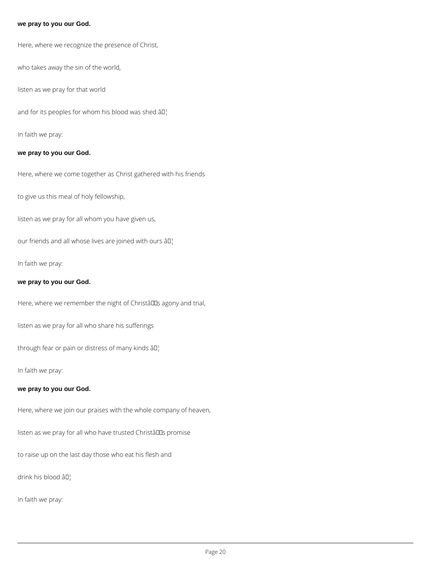#### **we pray to you our God.**

Here, where we recognize the presence of Christ,

who takes away the sin of the world,

listen as we pray for that world

and for its peoples for whom his blood was shed  $\partial I_1$ 

In faith we pray:

#### **we pray to you our God.**

Here, where we come together as Christ gathered with his friends

to give us this meal of holy fellowship,

listen as we pray for all whom you have given us,

our friends and all whose lives are joined with ours  $\partial \Pi_1$ 

In faith we pray:

#### **we pray to you our God.**

Here, where we remember the night of Christâlls agony and trial,

listen as we pray for all who share his sufferings

through fear or pain or distress of many kinds  $\partial \mathbb{I}^1$ 

In faith we pray:

#### **we pray to you our God.**

Here, where we join our praises with the whole company of heaven,

listen as we pray for all who have trusted Christâlls promise

to raise up on the last day those who eat his flesh and

drink his blood âD¦

In faith we pray: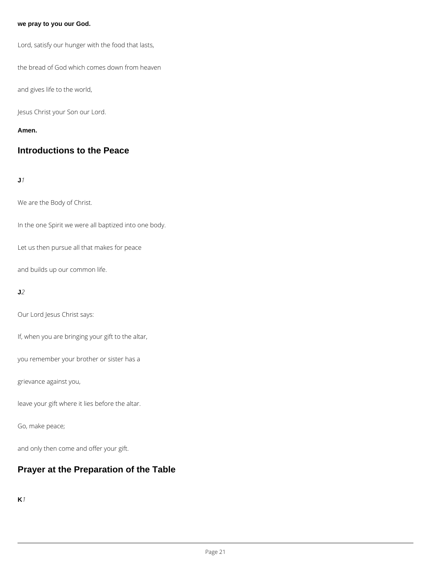#### **we pray to you our God.**

Lord, satisfy our hunger with the food that lasts,

the bread of God which comes down from heaven

and gives life to the world,

Jesus Christ your Son our Lord.

#### **Amen.**

# **Introductions to the Peace**

### **J***1*

We are the Body of Christ.

In the one Spirit we were all baptized into one body.

Let us then pursue all that makes for peace

and builds up our common life.

#### **J***2*

Our Lord Jesus Christ says:

If, when you are bringing your gift to the altar,

you remember your brother or sister has a

grievance against you,

leave your gift where it lies before the altar.

Go, make peace;

and only then come and offer your gift.

# **Prayer at the Preparation of the Table**

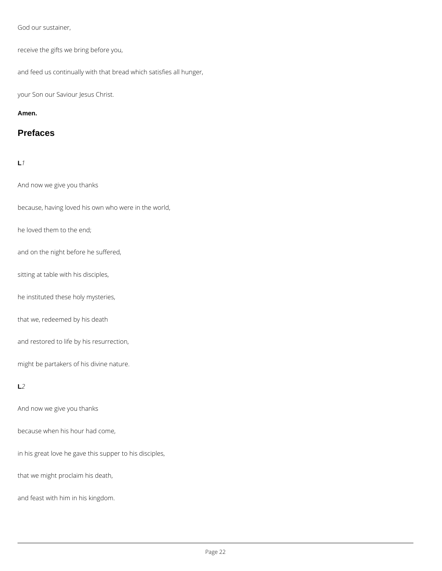God our sustainer,

receive the gifts we bring before you,

and feed us continually with that bread which satisfies all hunger,

your Son our Saviour Jesus Christ.

**Amen.**

# **Prefaces**

# **L***1*

And now we give you thanks

because, having loved his own who were in the world,

he loved them to the end;

and on the night before he suffered,

sitting at table with his disciples,

he instituted these holy mysteries,

that we, redeemed by his death

and restored to life by his resurrection,

might be partakers of his divine nature.

### **L***2*

And now we give you thanks

### because when his hour had come,

in his great love he gave this supper to his disciples,

that we might proclaim his death,

and feast with him in his kingdom.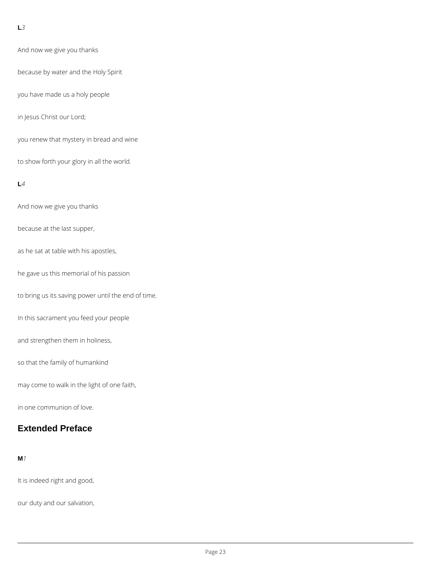### **L***3*

And now we give you thanks

because by water and the Holy Spirit

you have made us a holy people

in Jesus Christ our Lord;

you renew that mystery in bread and wine

to show forth your glory in all the world.

#### **L***4*

And now we give you thanks

because at the last supper,

as he sat at table with his apostles,

he gave us this memorial of his passion

to bring us its saving power until the end of time.

In this sacrament you feed your people

and strengthen them in holiness,

so that the family of humankind

may come to walk in the light of one faith,

in one communion of love.

# **Extended Preface**

**M***1*

It is indeed right and good,

our duty and our salvation,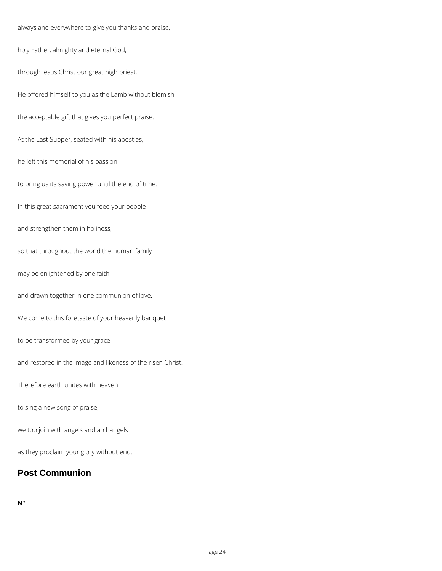always and everywhere to give you thanks and praise,

holy Father, almighty and eternal God,

through Jesus Christ our great high priest.

He offered himself to you as the Lamb without blemish,

the acceptable gift that gives you perfect praise.

At the Last Supper, seated with his apostles,

he left this memorial of his passion

to bring us its saving power until the end of time.

In this great sacrament you feed your people

and strengthen them in holiness,

so that throughout the world the human family

may be enlightened by one faith

and drawn together in one communion of love.

We come to this foretaste of your heavenly banquet

to be transformed by your grace

and restored in the image and likeness of the risen Christ.

Therefore earth unites with heaven

to sing a new song of praise;

we too join with angels and archangels

as they proclaim your glory without end:

# **Post Communion**

**N***1*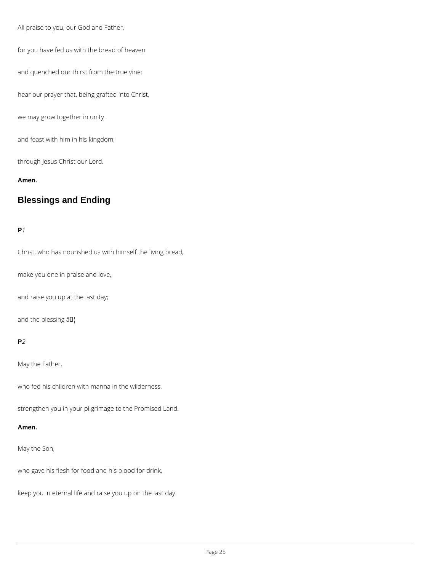All praise to you, our God and Father,

for you have fed us with the bread of heaven

and quenched our thirst from the true vine:

hear our prayer that, being grafted into Christ,

we may grow together in unity

and feast with him in his kingdom;

through Jesus Christ our Lord.

**Amen.**

# **Blessings and Ending**

**P***1*

Christ, who has nourished us with himself the living bread,

make you one in praise and love,

and raise you up at the last day;

and the blessing  $\hat{a} \Pi_1^{\dagger}$ 

#### **P***2*

May the Father,

who fed his children with manna in the wilderness,

strengthen you in your pilgrimage to the Promised Land.

**Amen.**

### May the Son,

who gave his flesh for food and his blood for drink,

keep you in eternal life and raise you up on the last day.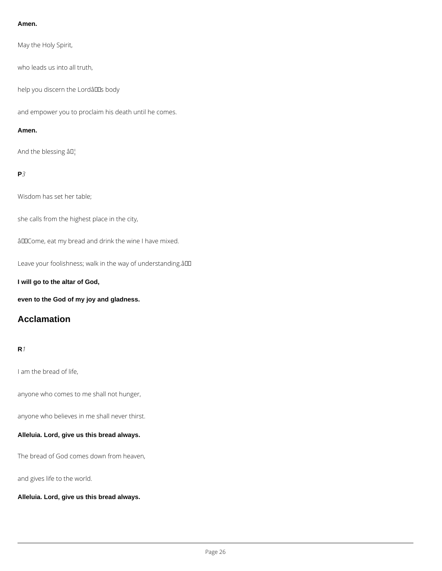#### **Amen.**

May the Holy Spirit,

who leads us into all truth,

help you discern the LordâllEs body

and empower you to proclaim his death until he comes.

#### **Amen.**

And the blessing âD¦

## **P***3*

Wisdom has set her table;

she calls from the highest place in the city,

âDDCome, eat my bread and drink the wine I have mixed.

Leave your foolishness; walk in the way of understanding.âDD

**I will go to the altar of God,**

**even to the God of my joy and gladness.**

# **Acclamation**

#### **R***1*

I am the bread of life,

anyone who comes to me shall not hunger,

anyone who believes in me shall never thirst.

#### **Alleluia. Lord, give us this bread always.**

The bread of God comes down from heaven,

and gives life to the world.

**Alleluia. Lord, give us this bread always.**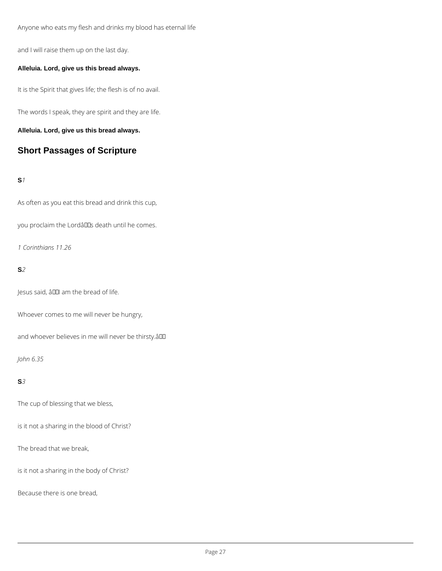Anyone who eats my flesh and drinks my blood has eternal life

and I will raise them up on the last day.

#### **Alleluia. Lord, give us this bread always.**

It is the Spirit that gives life; the flesh is of no avail.

The words I speak, they are spirit and they are life.

**Alleluia. Lord, give us this bread always.**

# **Short Passages of Scripture**

### **S***1*

As often as you eat this bread and drink this cup,

you proclaim the Lordâlls death until he comes.

*1 Corinthians 11.26*

#### **S***2*

Jesus said, â00 am the bread of life.

Whoever comes to me will never be hungry,

and whoever believes in me will never be thirsty.âDD

### *John 6.35*

#### **S***3*

The cup of blessing that we bless,

is it not a sharing in the blood of Christ?

The bread that we break,

is it not a sharing in the body of Christ?

Because there is one bread,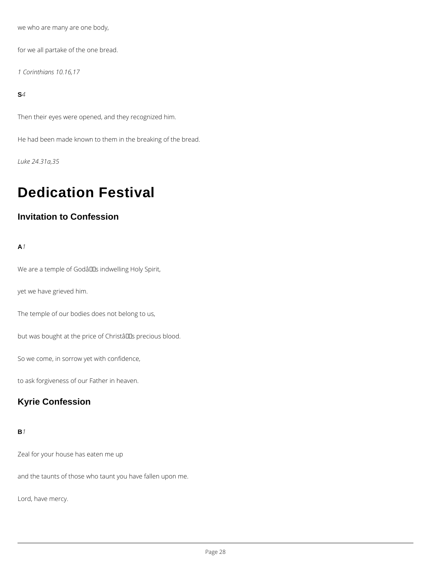we who are many are one body,

for we all partake of the one bread.

*1 Corinthians 10.16,17*

**S***4*

Then their eyes were opened, and they recognized him.

He had been made known to them in the breaking of the bread.

*Luke 24.31a,35*

# **Dedication Festival**

# **Invitation to Confession**

**A***1*

We are a temple of Godâlls indwelling Holy Spirit,

yet we have grieved him.

The temple of our bodies does not belong to us,

but was bought at the price of ChristâllEs precious blood.

So we come, in sorrow yet with confidence,

to ask forgiveness of our Father in heaven.

# **Kyrie Confession**

Zeal for your house has eaten me up

and the taunts of those who taunt you have fallen upon me.

Lord, have mercy.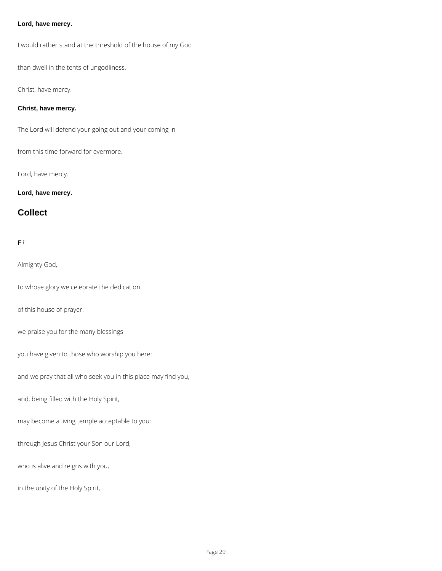#### **Lord, have mercy.**

I would rather stand at the threshold of the house of my God

than dwell in the tents of ungodliness.

Christ, have mercy.

#### **Christ, have mercy.**

The Lord will defend your going out and your coming in

from this time forward for evermore.

Lord, have mercy.

### **Lord, have mercy.**

# **Collect**

## **F***1*

Almighty God,

to whose glory we celebrate the dedication

of this house of prayer:

we praise you for the many blessings

you have given to those who worship you here:

and we pray that all who seek you in this place may find you,

and, being filled with the Holy Spirit,

may become a living temple acceptable to you;

through Jesus Christ your Son our Lord,

who is alive and reigns with you,

in the unity of the Holy Spirit,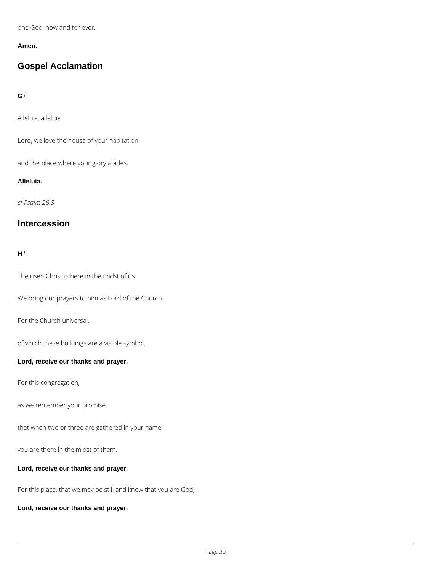one God, now and for ever.

#### **Amen.**

# **Gospel Acclamation**

### **G***1*

Alleluia, alleluia.

Lord, we love the house of your habitation

and the place where your glory abides.

#### **Alleluia.**

*cf Psalm 26.8*

# **Intercession**

#### **H***1*

The risen Christ is here in the midst of us.

We bring our prayers to him as Lord of the Church.

For the Church universal,

of which these buildings are a visible symbol,

#### **Lord, receive our thanks and prayer.**

For this congregation,

as we remember your promise

that when two or three are gathered in your name

you are there in the midst of them,

**Lord, receive our thanks and prayer.**

For this place, that we may be still and know that you are God,

**Lord, receive our thanks and prayer.**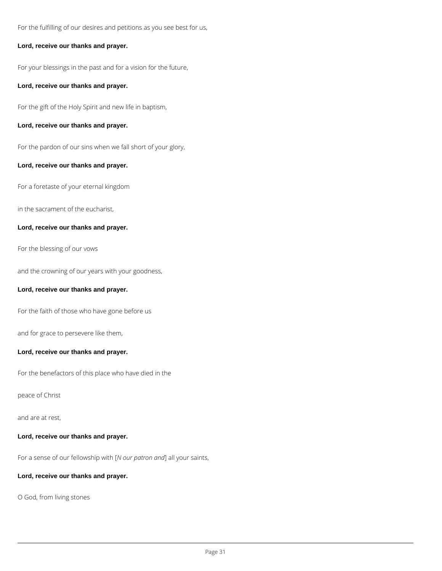For the fulfilling of our desires and petitions as you see best for us,

#### **Lord, receive our thanks and prayer.**

For your blessings in the past and for a vision for the future,

#### **Lord, receive our thanks and prayer.**

For the gift of the Holy Spirit and new life in baptism,

#### **Lord, receive our thanks and prayer.**

For the pardon of our sins when we fall short of your glory,

#### **Lord, receive our thanks and prayer.**

For a foretaste of your eternal kingdom

in the sacrament of the eucharist,

### **Lord, receive our thanks and prayer.**

For the blessing of our vows

and the crowning of our years with your goodness,

#### **Lord, receive our thanks and prayer.**

For the faith of those who have gone before us

and for grace to persevere like them,

#### **Lord, receive our thanks and prayer.**

For the benefactors of this place who have died in the

## peace of Christ

and are at rest,

**Lord, receive our thanks and prayer.**

For a sense of our fellowship with [*N our patron and*] all your saints,

**Lord, receive our thanks and prayer.**

O God, from living stones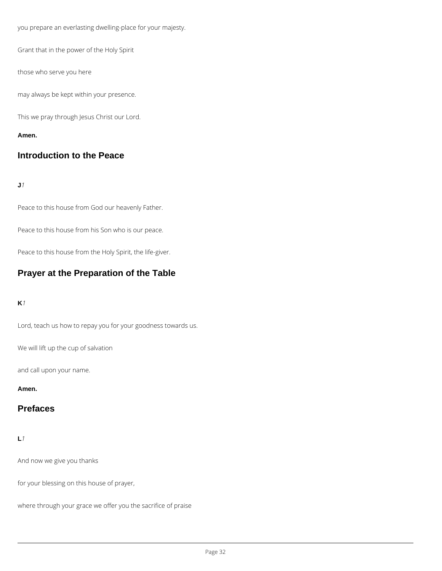you prepare an everlasting dwelling-place for your majesty.

Grant that in the power of the Holy Spirit

those who serve you here

may always be kept within your presence.

This we pray through Jesus Christ our Lord.

#### **Amen.**

# **Introduction to the Peace**

#### **J***1*

Peace to this house from God our heavenly Father.

Peace to this house from his Son who is our peace.

Peace to this house from the Holy Spirit, the life-giver.

# **Prayer at the Preparation of the Table**

#### **K***1*

Lord, teach us how to repay you for your goodness towards us.

We will lift up the cup of salvation

and call upon your name.

#### **Amen.**

# **Prefaces**

And now we give you thanks

for your blessing on this house of prayer,

where through your grace we offer you the sacrifice of praise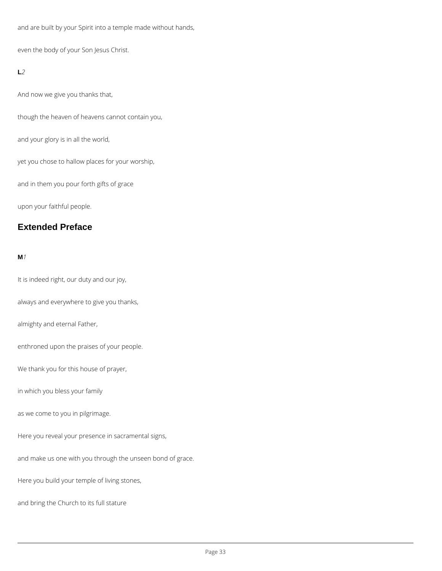and are built by your Spirit into a temple made without hands,

even the body of your Son Jesus Christ.

### **L***2*

And now we give you thanks that,

though the heaven of heavens cannot contain you,

and your glory is in all the world,

yet you chose to hallow places for your worship,

and in them you pour forth gifts of grace

upon your faithful people.

# **Extended Preface**

### **M***1*

It is indeed right, our duty and our joy,

always and everywhere to give you thanks,

almighty and eternal Father,

enthroned upon the praises of your people.

We thank you for this house of prayer,

in which you bless your family

as we come to you in pilgrimage.

Here you reveal your presence in sacramental signs,

and make us one with you through the unseen bond of grace.

Here you build your temple of living stones,

and bring the Church to its full stature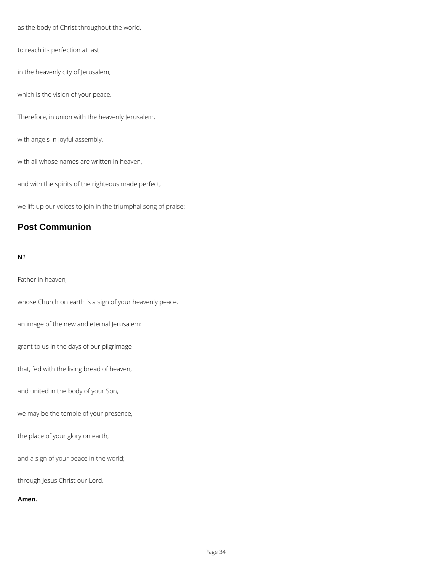as the body of Christ throughout the world,

to reach its perfection at last

in the heavenly city of Jerusalem,

which is the vision of your peace.

Therefore, in union with the heavenly Jerusalem,

with angels in joyful assembly,

with all whose names are written in heaven,

and with the spirits of the righteous made perfect,

we lift up our voices to join in the triumphal song of praise:

# **Post Communion**

#### **N***1*

Father in heaven,

whose Church on earth is a sign of your heavenly peace,

an image of the new and eternal Jerusalem:

grant to us in the days of our pilgrimage

that, fed with the living bread of heaven,

and united in the body of your Son,

we may be the temple of your presence,

the place of your glory on earth,

and a sign of your peace in the world;

through Jesus Christ our Lord.

**Amen.**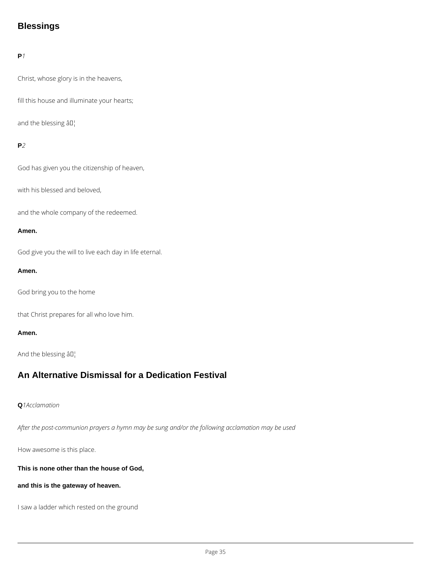# **Blessings**

## **P***1*

Christ, whose glory is in the heavens,

fill this house and illuminate your hearts;

and the blessing  $\hat{a} \Pi_1^1$ 

### **P***2*

God has given you the citizenship of heaven,

with his blessed and beloved,

and the whole company of the redeemed.

#### **Amen.**

God give you the will to live each day in life eternal.

#### **Amen.**

God bring you to the home

that Christ prepares for all who love him.

#### **Amen.**

And the blessing  $\hat{a} \Pi_1^{\dagger}$ 

# **An Alternative Dismissal for a Dedication Festival**

#### **Q***1Acclamation*

*After the post-communion prayers a hymn may be sung and/or the following acclamation may be used*

How awesome is this place.

**This is none other than the house of God,**

**and this is the gateway of heaven.**

I saw a ladder which rested on the ground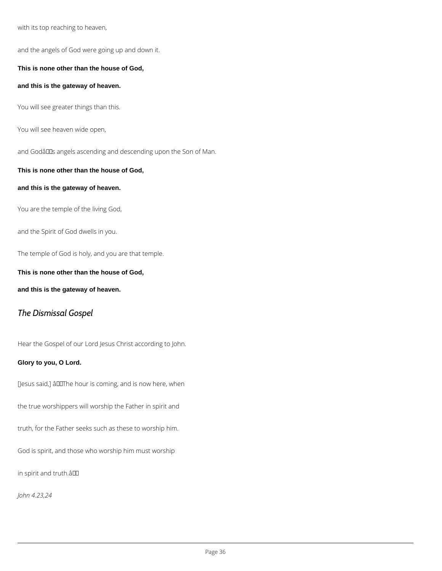with its top reaching to heaven,

and the angels of God were going up and down it.

**This is none other than the house of God,**

**and this is the gateway of heaven.**

You will see greater things than this.

You will see heaven wide open,

and Godâlls angels ascending and descending upon the Son of Man.

#### **This is none other than the house of God,**

#### **and this is the gateway of heaven.**

You are the temple of the living God,

and the Spirit of God dwells in you.

The temple of God is holy, and you are that temple.

**This is none other than the house of God,**

**and this is the gateway of heaven.**

# *The Dismissal Gospel*

Hear the Gospel of our Lord Jesus Christ according to John.

## **Glory to you, O Lord.**

[Jesus said,] âDIThe hour is coming, and is now here, when

the true worshippers will worship the Father in spirit and

truth, for the Father seeks such as these to worship him.

God is spirit, and those who worship him must worship

in spirit and truth.â

*John 4.23,24*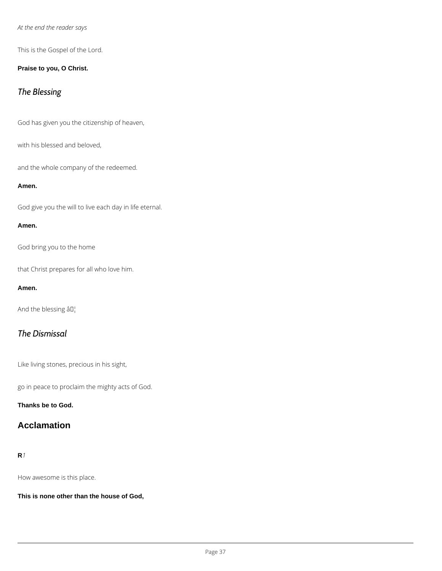### *At the end the reader says*

This is the Gospel of the Lord.

#### **Praise to you, O Christ.**

# *The Blessing*

God has given you the citizenship of heaven,

with his blessed and beloved,

and the whole company of the redeemed.

#### **Amen.**

God give you the will to live each day in life eternal.

#### **Amen.**

God bring you to the home

that Christ prepares for all who love him.

#### **Amen.**

And the blessing  $\hat{a} \Pi_1^{\dagger}$ 

# *The Dismissal*

Like living stones, precious in his sight,

go in peace to proclaim the mighty acts of God.

#### **Thanks be to God.**

# **Acclamation**

**R***1*

How awesome is this place.

**This is none other than the house of God,**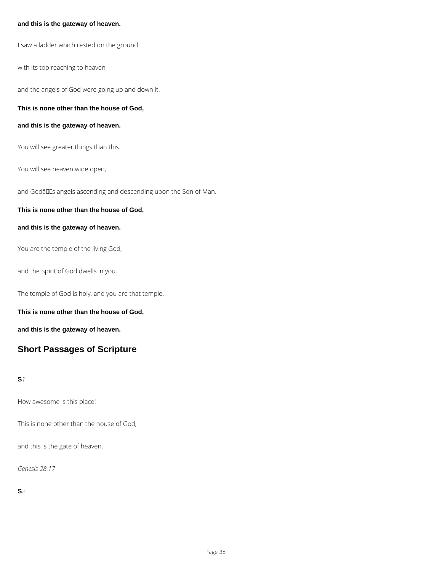#### **and this is the gateway of heaven.**

I saw a ladder which rested on the ground

with its top reaching to heaven,

and the angels of God were going up and down it.

**This is none other than the house of God,**

#### **and this is the gateway of heaven.**

You will see greater things than this.

You will see heaven wide open,

and Godâllas angels ascending and descending upon the Son of Man.

#### **This is none other than the house of God,**

#### **and this is the gateway of heaven.**

You are the temple of the living God,

and the Spirit of God dwells in you.

The temple of God is holy, and you are that temple.

**This is none other than the house of God,**

**and this is the gateway of heaven.**

# **Short Passages of Scripture**

#### **S***1*

How awesome is this place!

This is none other than the house of God,

and this is the gate of heaven.

*Genesis 28.17*

**S***2*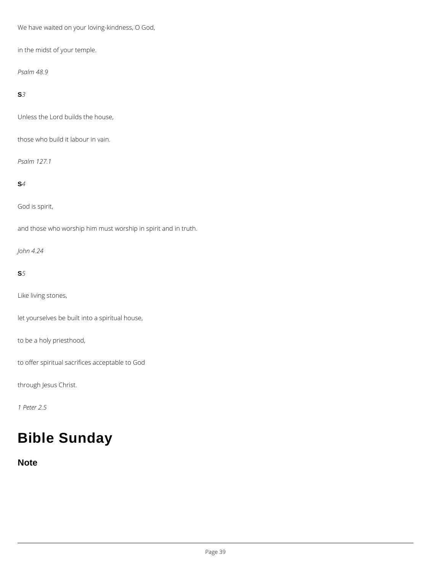We have waited on your loving-kindness, O God,

in the midst of your temple.

*Psalm 48.9*

**S***3*

Unless the Lord builds the house,

those who build it labour in vain.

*Psalm 127.1*

# **S***4*

God is spirit,

and those who worship him must worship in spirit and in truth.

*John 4.24*

# **S***5*

Like living stones,

let yourselves be built into a spiritual house,

to be a holy priesthood,

to offer spiritual sacrifices acceptable to God

through Jesus Christ.

*1 Peter 2.5*

# **Bible Sunday**

**Note**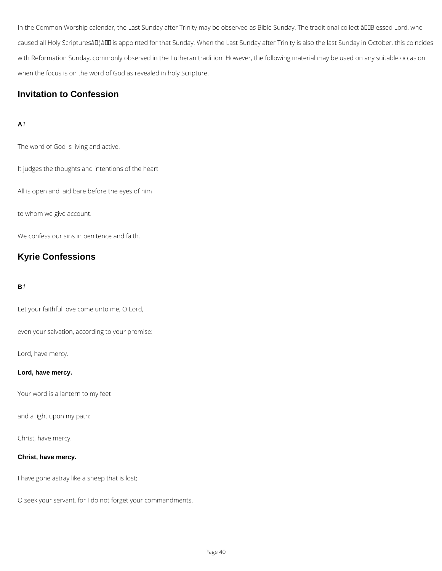In the Common Worship calendar, the Last Sunday after Trinity may be observed as Bible Sunday. The traditional collect âDDBlessed Lord, who caused all Holy Scripturesâll¦âll is appointed for that Sunday. When the Last Sunday after Trinity is also the last Sunday in October, this coincides with Reformation Sunday, commonly observed in the Lutheran tradition. However, the following material may be used on any suitable occasion when the focus is on the word of God as revealed in holy Scripture.

# **Invitation to Confession**

# **A***1*

The word of God is living and active.

It judges the thoughts and intentions of the heart.

All is open and laid bare before the eyes of him

to whom we give account.

We confess our sins in penitence and faith.

# **Kyrie Confessions**

### **B***1*

Let your faithful love come unto me, O Lord,

even your salvation, according to your promise:

Lord, have mercy.

#### **Lord, have mercy.**

Your word is a lantern to my feet

and a light upon my path:

Christ, have mercy.

#### **Christ, have mercy.**

I have gone astray like a sheep that is lost;

O seek your servant, for I do not forget your commandments.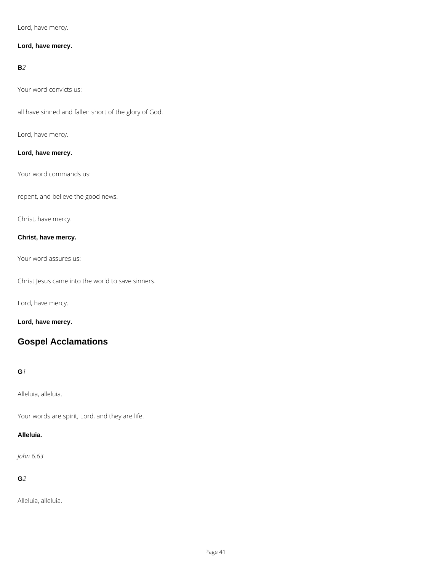Lord, have mercy.

### **Lord, have mercy.**

#### **B***2*

Your word convicts us:

all have sinned and fallen short of the glory of God.

Lord, have mercy.

### **Lord, have mercy.**

Your word commands us:

repent, and believe the good news.

Christ, have mercy.

### **Christ, have mercy.**

Your word assures us:

Christ Jesus came into the world to save sinners.

Lord, have mercy.

**Lord, have mercy.**

# **Gospel Acclamations**

#### **G***1*

Alleluia, alleluia.

Your words are spirit, Lord, and they are life.

#### **Alleluia.**

*John 6.63*

**G***2*

Alleluia, alleluia.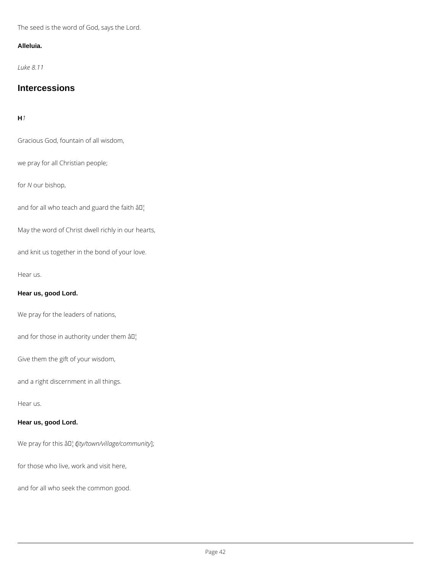The seed is the word of God, says the Lord.

### **Alleluia.**

*Luke 8.11*

# **Intercessions**

# **H***1*

Gracious God, fountain of all wisdom,

we pray for all Christian people;

for *N* our bishop,

and for all who teach and guard the faith  $\hat{a} \mathbb{I}^1$ 

May the word of Christ dwell richly in our hearts,

and knit us together in the bond of your love.

Hear us.

# **Hear us, good Lord.**

We pray for the leaders of nations,

and for those in authority under them  $\left.\hat{a}\right\vert$ 

Give them the gift of your wisdom,

and a right discernment in all things.

Hear us.

**Hear us, good Lord.**

We pray for this  $\frac{\partial \Pi}{\partial t}$  (*ty/town/village/community*];

for those who live, work and visit here,

and for all who seek the common good.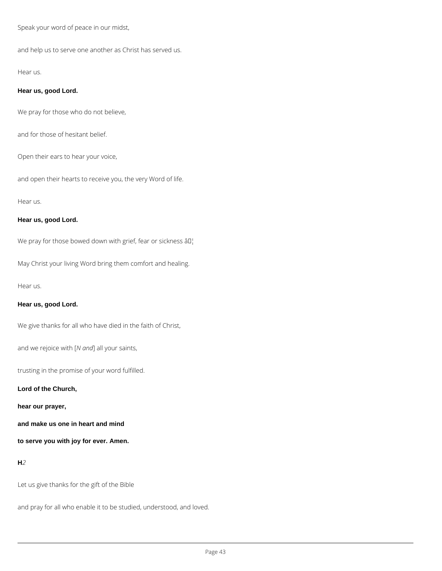Speak your word of peace in our midst,

and help us to serve one another as Christ has served us.

#### Hear us.

#### **Hear us, good Lord.**

We pray for those who do not believe,

and for those of hesitant belief.

Open their ears to hear your voice,

and open their hearts to receive you, the very Word of life.

#### Hear us.

#### **Hear us, good Lord.**

We pray for those bowed down with grief, fear or sickness  $\partial \Pi_1^{\dagger}$ 

May Christ your living Word bring them comfort and healing.

Hear us.

#### **Hear us, good Lord.**

We give thanks for all who have died in the faith of Christ,

and we rejoice with [*N and*] all your saints,

trusting in the promise of your word fulfilled.

#### **Lord of the Church,**

**hear our prayer,**

**and make us one in heart and mind**

**to serve you with joy for ever. Amen.**

**H***2*

Let us give thanks for the gift of the Bible

and pray for all who enable it to be studied, understood, and loved.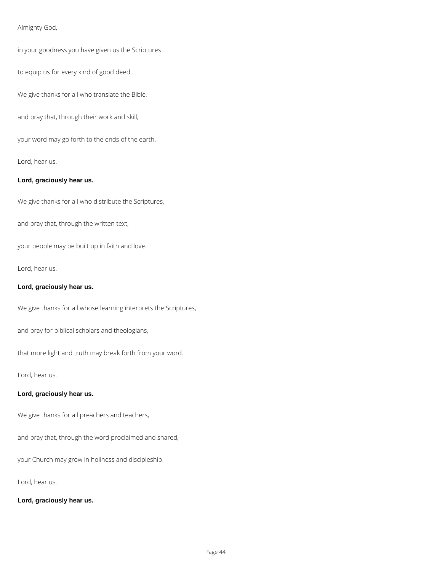### Almighty God,

in your goodness you have given us the Scriptures

to equip us for every kind of good deed.

We give thanks for all who translate the Bible,

and pray that, through their work and skill,

your word may go forth to the ends of the earth.

Lord, hear us.

#### **Lord, graciously hear us.**

We give thanks for all who distribute the Scriptures,

and pray that, through the written text,

your people may be built up in faith and love.

Lord, hear us.

#### **Lord, graciously hear us.**

We give thanks for all whose learning interprets the Scriptures,

and pray for biblical scholars and theologians,

that more light and truth may break forth from your word.

Lord, hear us.

#### **Lord, graciously hear us.**

We give thanks for all preachers and teachers,

and pray that, through the word proclaimed and shared,

your Church may grow in holiness and discipleship.

Lord, hear us.

**Lord, graciously hear us.**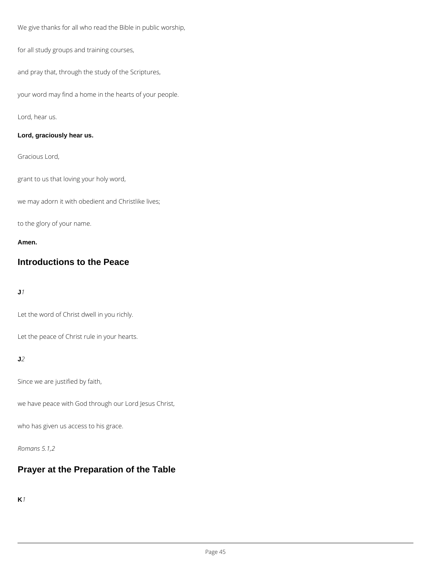We give thanks for all who read the Bible in public worship,

for all study groups and training courses,

and pray that, through the study of the Scriptures,

your word may find a home in the hearts of your people.

Lord, hear us.

### **Lord, graciously hear us.**

Gracious Lord,

grant to us that loving your holy word,

we may adorn it with obedient and Christlike lives;

to the glory of your name.

**Amen.**

# **Introductions to the Peace**

**J***1*

Let the word of Christ dwell in you richly.

Let the peace of Christ rule in your hearts.

**J***2*

Since we are justified by faith,

we have peace with God through our Lord Jesus Christ,

who has given us access to his grace.

*Romans 5.1,2*

# **Prayer at the Preparation of the Table**

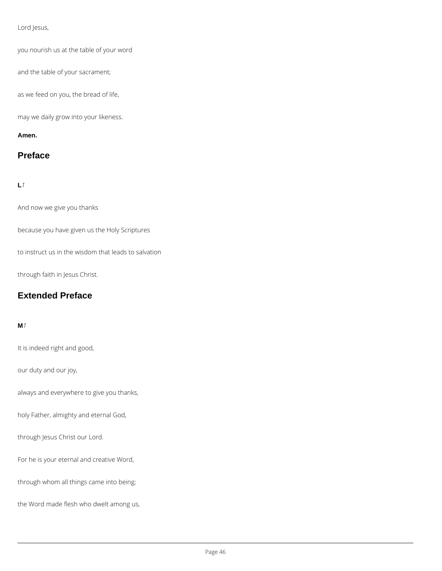#### Lord Jesus,

you nourish us at the table of your word

and the table of your sacrament;

as we feed on you, the bread of life,

may we daily grow into your likeness.

#### **Amen.**

# **Preface**

### **L***1*

And now we give you thanks

because you have given us the Holy Scriptures

to instruct us in the wisdom that leads to salvation

through faith in Jesus Christ.

# **Extended Preface**

#### **M***1*

It is indeed right and good,

our duty and our joy,

always and everywhere to give you thanks,

holy Father, almighty and eternal God,

through Jesus Christ our Lord.

For he is your eternal and creative Word,

through whom all things came into being;

the Word made flesh who dwelt among us,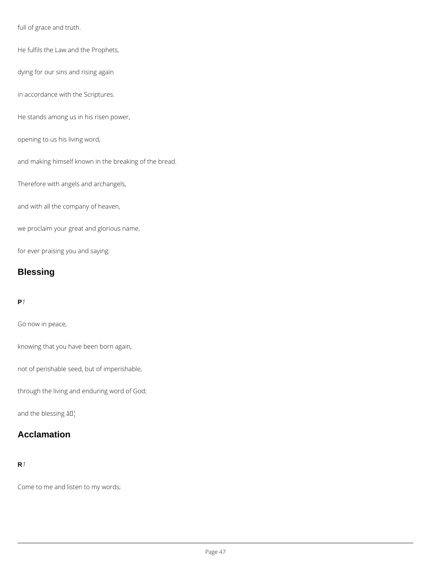full of grace and truth.

He fulfils the Law and the Prophets,

dying for our sins and rising again

in accordance with the Scriptures.

He stands among us in his risen power,

opening to us his living word,

and making himself known in the breaking of the bread.

Therefore with angels and archangels,

and with all the company of heaven,

we proclaim your great and glorious name,

for ever praising you and saying:

# **Blessing**

#### **P***1*

Go now in peace,

knowing that you have been born again,

not of perishable seed, but of imperishable,

through the living and enduring word of God;

and the blessing  $\hat{a} \Pi_1^1$ 

# **Acclamation**

**R***1*

Come to me and listen to my words;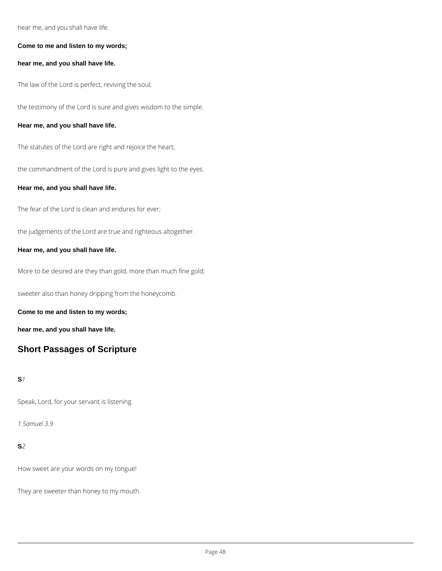hear me, and you shall have life.

#### **Come to me and listen to my words;**

**hear me, and you shall have life.**

The law of the Lord is perfect, reviving the soul;

the testimony of the Lord is sure and gives wisdom to the simple.

#### **Hear me, and you shall have life.**

The statutes of the Lord are right and rejoice the heart;

the commandment of the Lord is pure and gives light to the eyes.

#### **Hear me, and you shall have life.**

The fear of the Lord is clean and endures for ever;

the judgements of the Lord are true and righteous altogether.

#### **Hear me, and you shall have life.**

More to be desired are they than gold, more than much fine gold;

sweeter also than honey dripping from the honeycomb.

**Come to me and listen to my words;**

**hear me, and you shall have life.**

# **Short Passages of Scripture**

#### **S***1*

Speak, Lord, for your servant is listening.

*1 Samuel 3.9*

**S***2*

How sweet are your words on my tongue!

They are sweeter than honey to my mouth.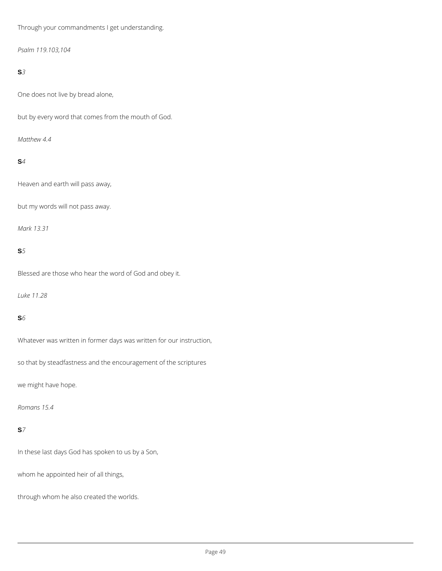Through your commandments I get understanding.

*Psalm 119.103,104*

### **S***3*

One does not live by bread alone,

but by every word that comes from the mouth of God.

*Matthew 4.4*

### **S***4*

Heaven and earth will pass away,

but my words will not pass away.

*Mark 13.31*

### **S***5*

Blessed are those who hear the word of God and obey it.

*Luke 11.28*

### **S***6*

Whatever was written in former days was written for our instruction,

so that by steadfastness and the encouragement of the scriptures

we might have hope.

*Romans 15.4*

In these last days God has spoken to us by a Son,

whom he appointed heir of all things,

through whom he also created the worlds.